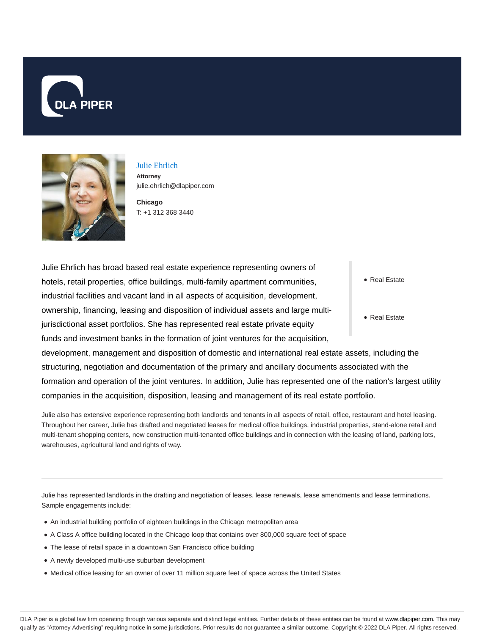



## Julie Ehrlich **Attorney** julie.ehrlich@dlapiper.com

**Chicago** T: +1 312 368 3440

Julie Ehrlich has broad based real estate experience representing owners of hotels, retail properties, office buildings, multi-family apartment communities, industrial facilities and vacant land in all aspects of acquisition, development, ownership, financing, leasing and disposition of individual assets and large multijurisdictional asset portfolios. She has represented real estate private equity funds and investment banks in the formation of joint ventures for the acquisition,

• Real Estate

Real Estate

development, management and disposition of domestic and international real estate assets, including the structuring, negotiation and documentation of the primary and ancillary documents associated with the formation and operation of the joint ventures. In addition, Julie has represented one of the nation's largest utility companies in the acquisition, disposition, leasing and management of its real estate portfolio.

Julie also has extensive experience representing both landlords and tenants in all aspects of retail, office, restaurant and hotel leasing. Throughout her career, Julie has drafted and negotiated leases for medical office buildings, industrial properties, stand-alone retail and multi-tenant shopping centers, new construction multi-tenanted office buildings and in connection with the leasing of land, parking lots, warehouses, agricultural land and rights of way.

Julie has represented landlords in the drafting and negotiation of leases, lease renewals, lease amendments and lease terminations. Sample engagements include:

- An industrial building portfolio of eighteen buildings in the Chicago metropolitan area
- A Class A office building located in the Chicago loop that contains over 800,000 square feet of space
- The lease of retail space in a downtown San Francisco office building
- A newly developed multi-use suburban development
- Medical office leasing for an owner of over 11 million square feet of space across the United States

DLA Piper is a global law firm operating through various separate and distinct legal entities. Further details of these entities can be found at www.dlapiper.com. This may qualify as "Attorney Advertising" requiring notice in some jurisdictions. Prior results do not guarantee a similar outcome. Copyright © 2022 DLA Piper. All rights reserved.